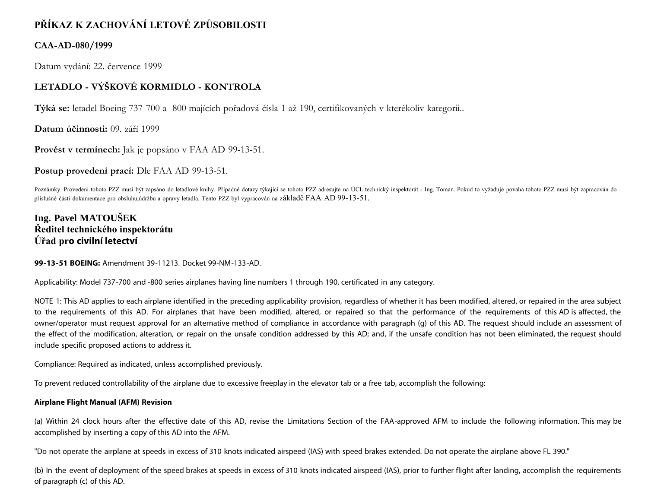# **PŘÍKAZ K ZACHOVÁNÍ LETOVÉ ZPŮSOBILOSTI**

## **CAA-AD-080/1999**

Datum vydání: 22. července 1999

# **LETADLO - VÝŠKOVÉ KORMIDLO - KONTROLA**

**Týká se:** letadel Boeing 737-700 a -800 majících pořadová čísla 1 až 190, certifikovaných v kterékoliv kategorii..

**Datum účinnosti:** 09. září 1999

**Provést v termínech:** Jak je popsáno v FAA AD 99-13-51.

**Postup provedení prací:** Dle FAA AD 99-13-51.

Poznámky: Provedení tohoto PZZ musí být zapsáno do letadlové knihy. Případné dotazy týkající se tohoto PZZ adresujte na ÚCL technický inspektorát - Ing. Toman. Pokud to vyžaduje povaha tohoto PZZ musí být zapracován do příslušné části dokumentace pro obsluhu,údržbu a opravy letadla. Tento PZZ byl vypracován na základě FAA AD 99-13-51.

## **Ing. Pavel MATOUŠEK Ředitel technického inspektorátu Úřad pro civilní letectví**

**99-13-51 BOEING:** Amendment 39-11213. Docket 99-NM-133-AD.

Applicability: Model 737-700 and -800 series airplanes having line numbers 1 through 190, certificated in any category.

NOTE 1: This AD applies to each airplane identified in the preceding applicability provision, regardless of whether it has been modified, altered, or repaired in the area subject to the requirements of this AD. For airplanes that have been modified, altered, or repaired so that the performance of the requirements of this AD is affected, the owner/operator must request approval for an alternative method of compliance in accordance with paragraph (g) of this AD. The request should include an assessment of the effect of the modification, alteration, or repair on the unsafe condition addressed by this AD; and, if the unsafe condition has not been eliminated, the request should include specific proposed actions to address it.

Compliance: Required as indicated, unless accomplished previously.

To prevent reduced controllability of the airplane due to excessive freeplay in the elevator tab or a free tab, accomplish the following:

## **Airplane Flight Manual (AFM) Revision**

(a) Within 24 clock hours after the effective date of this AD, revise the Limitations Section of the FAA-approved AFM to include the following information. This may be accomplished by inserting a copy of this AD into the AFM.

"Do not operate the airplane at speeds in excess of 310 knots indicated airspeed (IAS) with speed brakes extended. Do not operate the airplane above FL 390."

(b) In the event of deployment of the speed brakes at speeds in excess of 310 knots indicated airspeed (IAS), prior to further flight after landing, accomplish the requirements of paragraph (c) of this AD.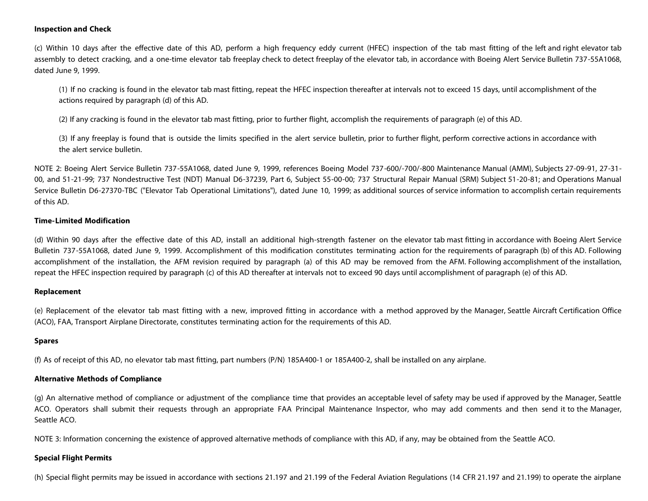#### **Inspection and Check**

(c) Within 10 days after the effective date of this AD, perform a high frequency eddy current (HFEC) inspection of the tab mast fitting of the left and right elevator tab assembly to detect cracking, and a one-time elevator tab freeplay check to detect freeplay of the elevator tab, in accordance with Boeing Alert Service Bulletin 737-55A1068, dated June 9, 1999.

(1) If no cracking is found in the elevator tab mast fitting, repeat the HFEC inspection thereafter at intervals not to exceed 15 days, until accomplishment of the actions required by paragraph (d) of this AD.

(2) If any cracking is found in the elevator tab mast fitting, prior to further flight, accomplish the requirements of paragraph (e) of this AD.

(3) If any freeplay is found that is outside the limits specified in the alert service bulletin, prior to further flight, perform corrective actions in accordance with the alert service bulletin.

NOTE 2: Boeing Alert Service Bulletin 737-55A1068, dated June 9, 1999, references Boeing Model 737-600/-700/-800 Maintenance Manual (AMM), Subjects 27-09-91, 27-31- 00, and 51-21-99; 737 Nondestructive Test (NDT) Manual D6-37239, Part 6, Subject 55-00-00; 737 Structural Repair Manual (SRM) Subject 51-20-81; and Operations Manual Service Bulletin D6-27370-TBC ("Elevator Tab Operational Limitations"), dated June 10, 1999; as additional sources of service information to accomplish certain requirements of this AD.

#### **Time-Limited Modification**

(d) Within 90 days after the effective date of this AD, install an additional high-strength fastener on the elevator tab mast fitting in accordance with Boeing Alert Service Bulletin 737-55A1068, dated June 9, 1999. Accomplishment of this modification constitutes terminating action for the requirements of paragraph (b) of this AD. Following accomplishment of the installation, the AFM revision required by paragraph (a) of this AD may be removed from the AFM. Following accomplishment of the installation, repeat the HFEC inspection required by paragraph (c) of this AD thereafter at intervals not to exceed 90 days until accomplishment of paragraph (e) of this AD.

#### **Replacement**

(e) Replacement of the elevator tab mast fitting with a new, improved fitting in accordance with a method approved by the Manager, Seattle Aircraft Certification Office (ACO), FAA, Transport Airplane Directorate, constitutes terminating action for the requirements of this AD.

#### **Spares**

(f) As of receipt of this AD, no elevator tab mast fitting, part numbers (P/N) 185A400-1 or 185A400-2, shall be installed on any airplane.

#### **Alternative Methods of Compliance**

(g) An alternative method of compliance or adjustment of the compliance time that provides an acceptable level of safety may be used if approved by the Manager, Seattle ACO. Operators shall submit their requests through an appropriate FAA Principal Maintenance Inspector, who may add comments and then send it to the Manager, Seattle ACO.

NOTE 3: Information concerning the existence of approved alternative methods of compliance with this AD, if any, may be obtained from the Seattle ACO.

### **Special Flight Permits**

(h) Special flight permits may be issued in accordance with sections 21.197 and 21.199 of the Federal Aviation Regulations (14 CFR 21.197 and 21.199) to operate the airplane